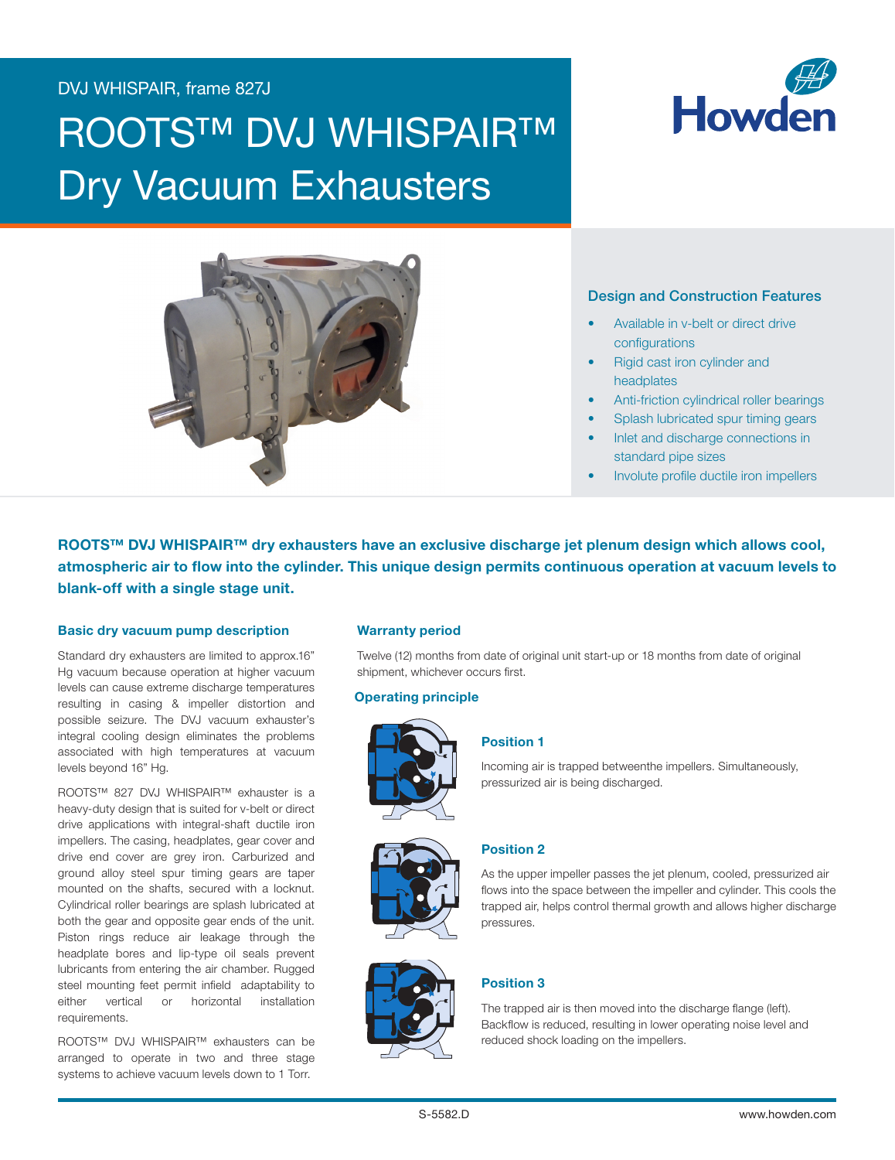# DVJ WHISPAIR, frame 827J

# **ROOTS™ DVJ WHISPAIR™** Dry Vacuum Exhausters





#### Design and Construction Features

- Available in v-belt or direct drive configurations
- Rigid cast iron cylinder and headplates
- Anti-friction cylindrical roller bearings
- Splash lubricated spur timing gears
- Inlet and discharge connections in standard pipe sizes
- Involute profile ductile iron impellers

ROOTS™ DVJ WHISPAIR™ dry exhausters have an exclusive discharge jet plenum design which allows cool, atmospheric air to flow into the cylinder. This unique design permits continuous operation at vacuum levels to blank-off with a single stage unit.

#### Basic dry vacuum pump description

Standard dry exhausters are limited to approx.16" Hg vacuum because operation at higher vacuum levels can cause extreme discharge temperatures resulting in casing & impeller distortion and possible seizure. The DVJ vacuum exhauster's integral cooling design eliminates the problems associated with high temperatures at vacuum levels beyond 16" Hg.

ROOTS™ 827 DVJ WHISPAIR™ exhauster is a heavy-duty design that is suited for v-belt or direct drive applications with integral-shaft ductile iron impellers. The casing, headplates, gear cover and drive end cover are grey iron. Carburized and ground alloy steel spur timing gears are taper mounted on the shafts, secured with a locknut. Cylindrical roller bearings are splash lubricated at both the gear and opposite gear ends of the unit. Piston rings reduce air leakage through the headplate bores and lip-type oil seals prevent lubricants from entering the air chamber. Rugged steel mounting feet permit infield adaptability to either vertical or horizontal installation requirements.

ROOTS™ DVJ WHISPAIR™ exhausters can be arranged to operate in two and three stage systems to achieve vacuum levels down to 1 Torr.

#### Warranty period

Twelve (12) months from date of original unit start-up or 18 months from date of original shipment, whichever occurs first.

#### Operating principle



#### Position 1

Incoming air is trapped betweenthe impellers. Simultaneously, pressurized air is being discharged.



# Position 2

As the upper impeller passes the jet plenum, cooled, pressurized air flows into the space between the impeller and cylinder. This cools the trapped air, helps control thermal growth and allows higher discharge pressures.



# Position 3

The trapped air is then moved into the discharge flange (left). Backflow is reduced, resulting in lower operating noise level and reduced shock loading on the impellers.